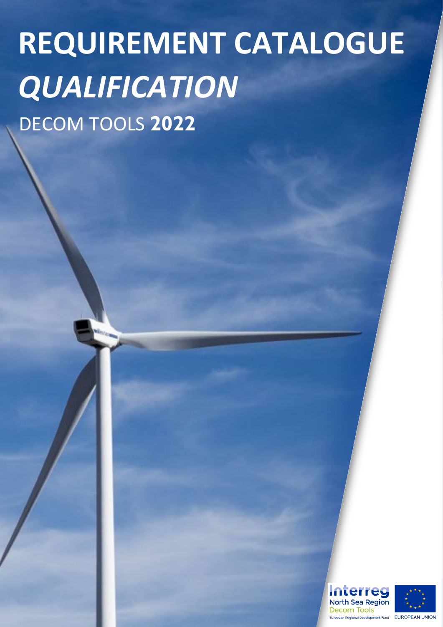# DECOM TOOLS **2022 REQUIREMENT CATALOGUE**  *QUALIFICATION*

**Interreg North Sea Region** Decom Tools **Regional Development Fund EUROPEAN UNION** 

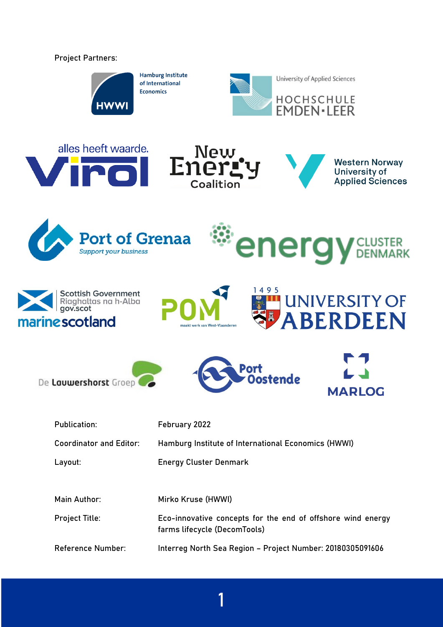Project Partners:



**Hamburg Institute** of International **Economics** 



















| <b>Publication:</b>            | February 2022                                                                               |
|--------------------------------|---------------------------------------------------------------------------------------------|
| <b>Coordinator and Editor:</b> | Hamburg Institute of International Economics (HWWI)                                         |
| Layout:                        | <b>Energy Cluster Denmark</b>                                                               |
|                                |                                                                                             |
| Main Author:                   | Mirko Kruse (HWWI)                                                                          |
| <b>Project Title:</b>          | Eco-innovative concepts for the end of offshore wind energy<br>farms lifecycle (DecomTools) |
| <b>Reference Number:</b>       | Interreg North Sea Region - Project Number: 20180305091606                                  |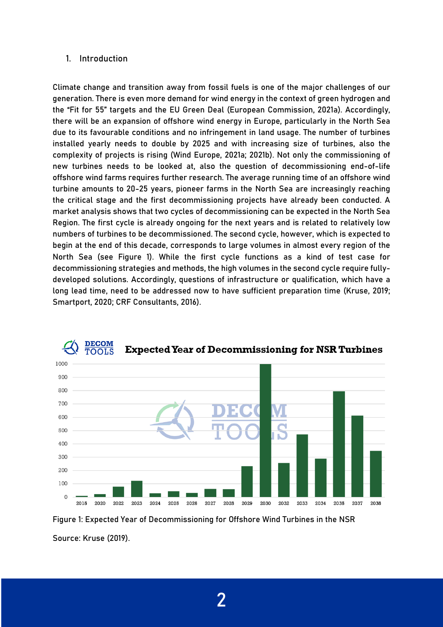#### 1. Introduction

Climate change and transition away from fossil fuels is one of the major challenges of our generation. There is even more demand for wind energy in the context of green hydrogen and the "Fit for 55" targets and the EU Green Deal (European Commission, 2021a). Accordingly, there will be an expansion of offshore wind energy in Europe, particularly in the North Sea due to its favourable conditions and no infringement in land usage. The number of turbines installed yearly needs to double by 2025 and with increasing size of turbines, also the complexity of projects is rising (Wind Europe, 2021a; 2021b). Not only the commissioning of new turbines needs to be looked at, also the question of decommissioning end-of-life offshore wind farms requires further research. The average running time of an offshore wind turbine amounts to 20-25 years, pioneer farms in the North Sea are increasingly reaching the critical stage and the first decommissioning projects have already been conducted. A market analysis shows that two cycles of decommissioning can be expected in the North Sea Region. The first cycle is already ongoing for the next years and is related to relatively low numbers of turbines to be decommissioned. The second cycle, however, which is expected to begin at the end of this decade, corresponds to large volumes in almost every region of the North Sea (see Figure 1). While the first cycle functions as a kind of test case for decommissioning strategies and methods, the high volumes in the second cycle require fullydeveloped solutions. Accordingly, questions of infrastructure or qualification, which have a long lead time, need to be addressed now to have sufficient preparation time (Kruse, 2019; Smartport, 2020; CRF Consultants, 2016).



#### **DECOM Expected Year of Decommissioning for NSR Turbines TOOLS**

Figure 1: Expected Year of Decommissioning for Offshore Wind Turbines in the NSR Source: Kruse (2019).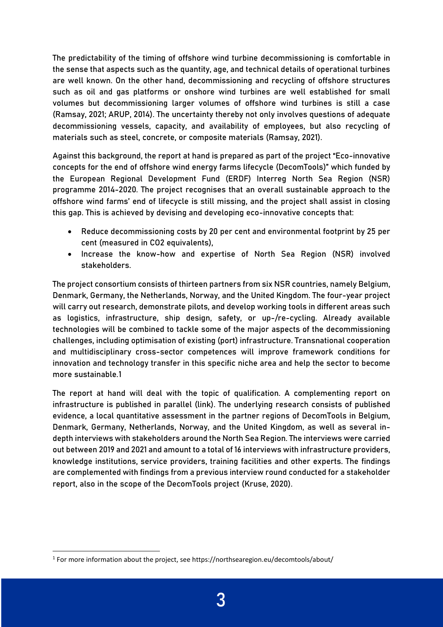The predictability of the timing of offshore wind turbine decommissioning is comfortable in the sense that aspects such as the quantity, age, and technical details of operational turbines are well known. On the other hand, decommissioning and recycling of offshore structures such as oil and gas platforms or onshore wind turbines are well established for small volumes but decommissioning larger volumes of offshore wind turbines is still a case (Ramsay, 2021; ARUP, 2014). The uncertainty thereby not only involves questions of adequate decommissioning vessels, capacity, and availability of employees, but also recycling of materials such as steel, concrete, or composite materials (Ramsay, 2021).

Against this background, the report at hand is prepared as part of the project "Eco-innovative concepts for the end of offshore wind energy farms lifecycle (DecomTools)" which funded by the European Regional Development Fund (ERDF) Interreg North Sea Region (NSR) programme 2014-2020. The project recognises that an overall sustainable approach to the offshore wind farms' end of lifecycle is still missing, and the project shall assist in closing this gap. This is achieved by devising and developing eco-innovative concepts that:

- Reduce decommissioning costs by 20 per cent and environmental footprint by 25 per cent (measured in CO2 equivalents),
- Increase the know-how and expertise of North Sea Region (NSR) involved stakeholders.

The project consortium consists of thirteen partners from six NSR countries, namely Belgium, Denmark, Germany, the Netherlands, Norway, and the United Kingdom. The four-year project will carry out research, demonstrate pilots, and develop working tools in different areas such as logistics, infrastructure, ship design, safety, or up-/re-cycling. Already available technologies will be combined to tackle some of the major aspects of the decommissioning challenges, including optimisation of existing (port) infrastructure. Transnational cooperation and multidisciplinary cross-sector competences will improve framework conditions for innovation and technology transfer in this specific niche area and help the sector to become more sustainable.[1](#page-3-0)

The report at hand will deal with the topic of qualification. A complementing report on infrastructure is published in parallel (link). The underlying research consists of published evidence, a local quantitative assessment in the partner regions of DecomTools in Belgium, Denmark, Germany, Netherlands, Norway, and the United Kingdom, as well as several indepth interviews with stakeholders around the North Sea Region. The interviews were carried out between 2019 and 2021 and amount to a total of 16 interviews with infrastructure providers, knowledge institutions, service providers, training facilities and other experts. The findings are complemented with findings from a previous interview round conducted for a stakeholder report, also in the scope of the DecomTools project (Kruse, 2020).

<span id="page-3-0"></span> $1$  For more information about the project, see https://northsearegion.eu/decomtools/about/

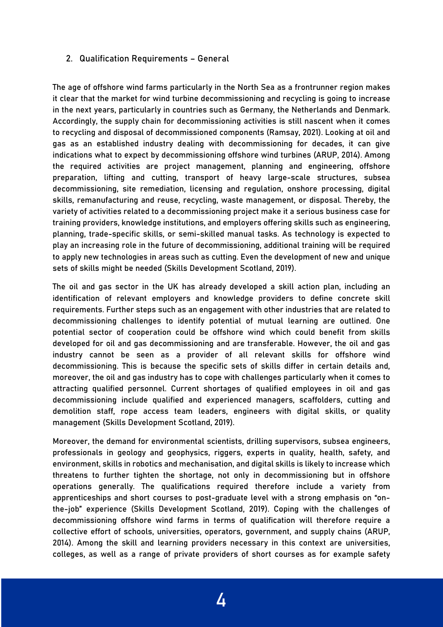# 2. Qualification Requirements – General

The age of offshore wind farms particularly in the North Sea as a frontrunner region makes it clear that the market for wind turbine decommissioning and recycling is going to increase in the next years, particularly in countries such as Germany, the Netherlands and Denmark. Accordingly, the supply chain for decommissioning activities is still nascent when it comes to recycling and disposal of decommissioned components (Ramsay, 2021). Looking at oil and gas as an established industry dealing with decommissioning for decades, it can give indications what to expect by decommissioning offshore wind turbines (ARUP, 2014). Among the required activities are project management, planning and engineering, offshore preparation, lifting and cutting, transport of heavy large-scale structures, subsea decommissioning, site remediation, licensing and regulation, onshore processing, digital skills, remanufacturing and reuse, recycling, waste management, or disposal. Thereby, the variety of activities related to a decommissioning project make it a serious business case for training providers, knowledge institutions, and employers offering skills such as engineering, planning, trade-specific skills, or semi-skilled manual tasks. As technology is expected to play an increasing role in the future of decommissioning, additional training will be required to apply new technologies in areas such as cutting. Even the development of new and unique sets of skills might be needed (Skills Development Scotland, 2019).

The oil and gas sector in the UK has already developed a skill action plan, including an identification of relevant employers and knowledge providers to define concrete skill requirements. Further steps such as an engagement with other industries that are related to decommissioning challenges to identify potential of mutual learning are outlined. One potential sector of cooperation could be offshore wind which could benefit from skills developed for oil and gas decommissioning and are transferable. However, the oil and gas industry cannot be seen as a provider of all relevant skills for offshore wind decommissioning. This is because the specific sets of skills differ in certain details and, moreover, the oil and gas industry has to cope with challenges particularly when it comes to attracting qualified personnel. Current shortages of qualified employees in oil and gas decommissioning include qualified and experienced managers, scaffolders, cutting and demolition staff, rope access team leaders, engineers with digital skills, or quality management (Skills Development Scotland, 2019).

Moreover, the demand for environmental scientists, drilling supervisors, subsea engineers, professionals in geology and geophysics, riggers, experts in quality, health, safety, and environment, skills in robotics and mechanisation, and digital skills is likely to increase which threatens to further tighten the shortage, not only in decommissioning but in offshore operations generally. The qualifications required therefore include a variety from apprenticeships and short courses to post-graduate level with a strong emphasis on "onthe-job" experience (Skills Development Scotland, 2019). Coping with the challenges of decommissioning offshore wind farms in terms of qualification will therefore require a collective effort of schools, universities, operators, government, and supply chains (ARUP, 2014). Among the skill and learning providers necessary in this context are universities, colleges, as well as a range of private providers of short courses as for example safety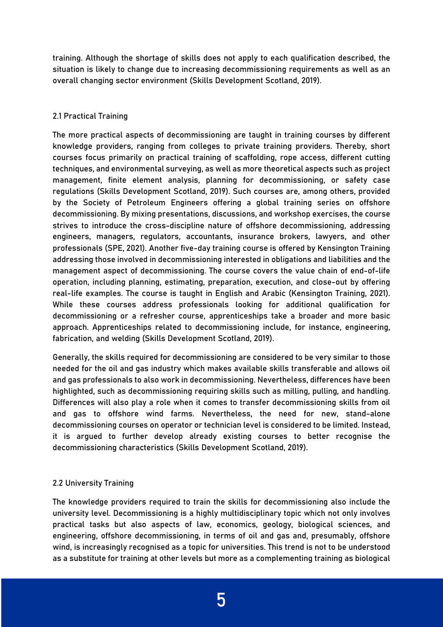training. Although the shortage of skills does not apply to each qualification described, the situation is likely to change due to increasing decommissioning requirements as well as an overall changing sector environment (Skills Development Scotland, 2019).

# 2.1 Practical Training

The more practical aspects of decommissioning are taught in training courses by different knowledge providers, ranging from colleges to private training providers. Thereby, short courses focus primarily on practical training of scaffolding, rope access, different cutting techniques, and environmental surveying, as well as more theoretical aspects such as project management, finite element analysis, planning for decommissioning, or safety case regulations (Skills Development Scotland, 2019). Such courses are, among others, provided by the Society of Petroleum Engineers offering a global training series on offshore decommissioning. By mixing presentations, discussions, and workshop exercises, the course strives to introduce the cross-discipline nature of offshore decommissioning, addressing engineers, managers, regulators, accountants, insurance brokers, lawyers, and other professionals (SPE, 2021). Another five-day training course is offered by Kensington Training addressing those involved in decommissioning interested in obligations and liabilities and the management aspect of decommissioning. The course covers the value chain of end-of-life operation, including planning, estimating, preparation, execution, and close-out by offering real-life examples. The course is taught in English and Arabic (Kensington Training, 2021). While these courses address professionals looking for additional qualification for decommissioning or a refresher course, apprenticeships take a broader and more basic approach. Apprenticeships related to decommissioning include, for instance, engineering, fabrication, and welding (Skills Development Scotland, 2019).

Generally, the skills required for decommissioning are considered to be very similar to those needed for the oil and gas industry which makes available skills transferable and allows oil and gas professionals to also work in decommissioning. Nevertheless, differences have been highlighted, such as decommissioning requiring skills such as milling, pulling, and handling. Differences will also play a role when it comes to transfer decommissioning skills from oil and gas to offshore wind farms. Nevertheless, the need for new, stand-alone decommissioning courses on operator or technician level is considered to be limited. Instead, it is argued to further develop already existing courses to better recognise the decommissioning characteristics (Skills Development Scotland, 2019).

# 2.2 University Training

The knowledge providers required to train the skills for decommissioning also include the university level. Decommissioning is a highly multidisciplinary topic which not only involves practical tasks but also aspects of law, economics, geology, biological sciences, and engineering, offshore decommissioning, in terms of oil and gas and, presumably, offshore wind, is increasingly recognised as a topic for universities. This trend is not to be understood as a substitute for training at other levels but more as a complementing training as biological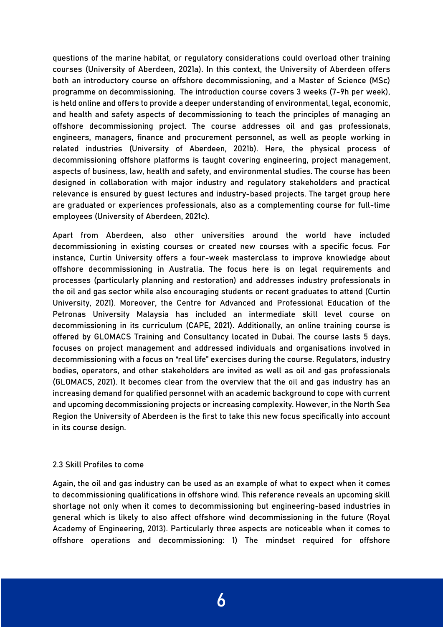questions of the marine habitat, or regulatory considerations could overload other training courses (University of Aberdeen, 2021a). In this context, the University of Aberdeen offers both an introductory course on offshore decommissioning, and a Master of Science (MSc) programme on decommissioning. The introduction course covers 3 weeks (7-9h per week), is held online and offers to provide a deeper understanding of environmental, legal, economic, and health and safety aspects of decommissioning to teach the principles of managing an offshore decommissioning project. The course addresses oil and gas professionals, engineers, managers, finance and procurement personnel, as well as people working in related industries (University of Aberdeen, 2021b). Here, the physical process of decommissioning offshore platforms is taught covering engineering, project management, aspects of business, law, health and safety, and environmental studies. The course has been designed in collaboration with major industry and regulatory stakeholders and practical relevance is ensured by guest lectures and industry-based projects. The target group here are graduated or experiences professionals, also as a complementing course for full-time employees (University of Aberdeen, 2021c).

Apart from Aberdeen, also other universities around the world have included decommissioning in existing courses or created new courses with a specific focus. For instance, Curtin University offers a four-week masterclass to improve knowledge about offshore decommissioning in Australia. The focus here is on legal requirements and processes (particularly planning and restoration) and addresses industry professionals in the oil and gas sector while also encouraging students or recent graduates to attend (Curtin University, 2021). Moreover, the Centre for Advanced and Professional Education of the Petronas University Malaysia has included an intermediate skill level course on decommissioning in its curriculum (CAPE, 2021). Additionally, an online training course is offered by GLOMACS Training and Consultancy located in Dubai. The course lasts 5 days, focuses on project management and addressed individuals and organisations involved in decommissioning with a focus on "real life" exercises during the course. Regulators, industry bodies, operators, and other stakeholders are invited as well as oil and gas professionals (GLOMACS, 2021). It becomes clear from the overview that the oil and gas industry has an increasing demand for qualified personnel with an academic background to cope with current and upcoming decommissioning projects or increasing complexity. However, in the North Sea Region the University of Aberdeen is the first to take this new focus specifically into account in its course design.

#### 2.3 Skill Profiles to come

Again, the oil and gas industry can be used as an example of what to expect when it comes to decommissioning qualifications in offshore wind. This reference reveals an upcoming skill shortage not only when it comes to decommissioning but engineering-based industries in general which is likely to also affect offshore wind decommissioning in the future (Royal Academy of Engineering, 2013). Particularly three aspects are noticeable when it comes to offshore operations and decommissioning: 1) The mindset required for offshore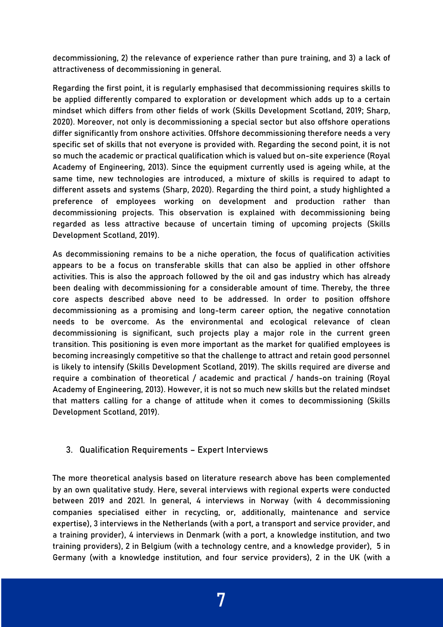decommissioning, 2) the relevance of experience rather than pure training, and 3) a lack of attractiveness of decommissioning in general.

Regarding the first point, it is regularly emphasised that decommissioning requires skills to be applied differently compared to exploration or development which adds up to a certain mindset which differs from other fields of work (Skills Development Scotland, 2019; Sharp, 2020). Moreover, not only is decommissioning a special sector but also offshore operations differ significantly from onshore activities. Offshore decommissioning therefore needs a very specific set of skills that not everyone is provided with. Regarding the second point, it is not so much the academic or practical qualification which is valued but on-site experience (Royal Academy of Engineering, 2013). Since the equipment currently used is ageing while, at the same time, new technologies are introduced, a mixture of skills is required to adapt to different assets and systems (Sharp, 2020). Regarding the third point, a study highlighted a preference of employees working on development and production rather than decommissioning projects. This observation is explained with decommissioning being regarded as less attractive because of uncertain timing of upcoming projects (Skills Development Scotland, 2019).

As decommissioning remains to be a niche operation, the focus of qualification activities appears to be a focus on transferable skills that can also be applied in other offshore activities. This is also the approach followed by the oil and gas industry which has already been dealing with decommissioning for a considerable amount of time. Thereby, the three core aspects described above need to be addressed. In order to position offshore decommissioning as a promising and long-term career option, the negative connotation needs to be overcome. As the environmental and ecological relevance of clean decommissioning is significant, such projects play a major role in the current green transition. This positioning is even more important as the market for qualified employees is becoming increasingly competitive so that the challenge to attract and retain good personnel is likely to intensify (Skills Development Scotland, 2019). The skills required are diverse and require a combination of theoretical / academic and practical / hands-on training (Royal Academy of Engineering, 2013). However, it is not so much new skills but the related mindset that matters calling for a change of attitude when it comes to decommissioning (Skills Development Scotland, 2019).

# 3. Qualification Requirements – Expert Interviews

The more theoretical analysis based on literature research above has been complemented by an own qualitative study. Here, several interviews with regional experts were conducted between 2019 and 2021. In general, 4 interviews in Norway (with 4 decommissioning companies specialised either in recycling, or, additionally, maintenance and service expertise), 3 interviews in the Netherlands (with a port, a transport and service provider, and a training provider), 4 interviews in Denmark (with a port, a knowledge institution, and two training providers), 2 in Belgium (with a technology centre, and a knowledge provider), 5 in Germany (with a knowledge institution, and four service providers), 2 in the UK (with a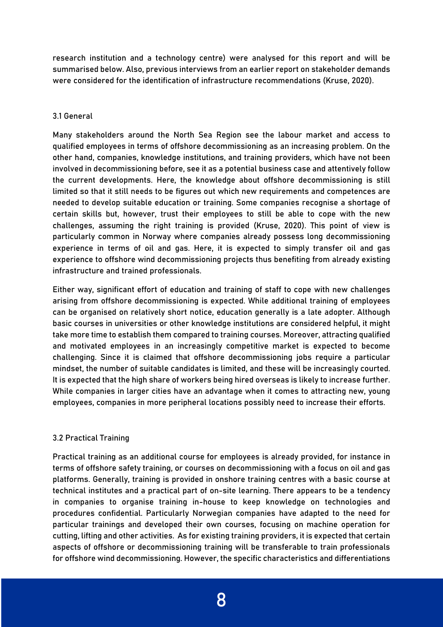research institution and a technology centre) were analysed for this report and will be summarised below. Also, previous interviews from an earlier report on stakeholder demands were considered for the identification of infrastructure recommendations (Kruse, 2020).

# 3.1 General

Many stakeholders around the North Sea Region see the labour market and access to qualified employees in terms of offshore decommissioning as an increasing problem. On the other hand, companies, knowledge institutions, and training providers, which have not been involved in decommissioning before, see it as a potential business case and attentively follow the current developments. Here, the knowledge about offshore decommissioning is still limited so that it still needs to be figures out which new requirements and competences are needed to develop suitable education or training. Some companies recognise a shortage of certain skills but, however, trust their employees to still be able to cope with the new challenges, assuming the right training is provided (Kruse, 2020). This point of view is particularly common in Norway where companies already possess long decommissioning experience in terms of oil and gas. Here, it is expected to simply transfer oil and gas experience to offshore wind decommissioning projects thus benefiting from already existing infrastructure and trained professionals.

Either way, significant effort of education and training of staff to cope with new challenges arising from offshore decommissioning is expected. While additional training of employees can be organised on relatively short notice, education generally is a late adopter. Although basic courses in universities or other knowledge institutions are considered helpful, it might take more time to establish them compared to training courses. Moreover, attracting qualified and motivated employees in an increasingly competitive market is expected to become challenging. Since it is claimed that offshore decommissioning jobs require a particular mindset, the number of suitable candidates is limited, and these will be increasingly courted. It is expected that the high share of workers being hired overseas is likely to increase further. While companies in larger cities have an advantage when it comes to attracting new, young employees, companies in more peripheral locations possibly need to increase their efforts.

# 3.2 Practical Training

Practical training as an additional course for employees is already provided, for instance in terms of offshore safety training, or courses on decommissioning with a focus on oil and gas platforms. Generally, training is provided in onshore training centres with a basic course at technical institutes and a practical part of on-site learning. There appears to be a tendency in companies to organise training in-house to keep knowledge on technologies and procedures confidential. Particularly Norwegian companies have adapted to the need for particular trainings and developed their own courses, focusing on machine operation for cutting, lifting and other activities. As for existing training providers, it is expected that certain aspects of offshore or decommissioning training will be transferable to train professionals for offshore wind decommissioning. However, the specific characteristics and differentiations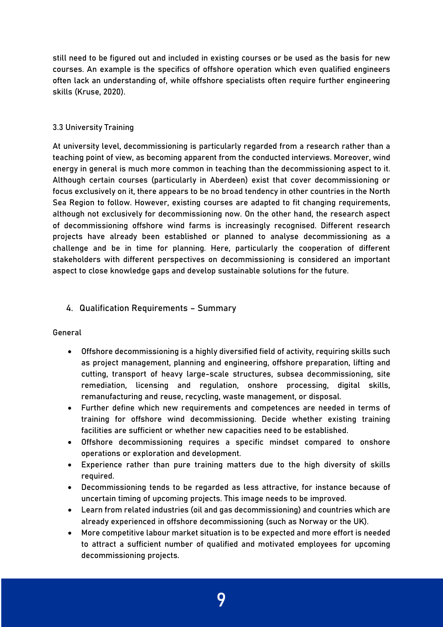still need to be figured out and included in existing courses or be used as the basis for new courses. An example is the specifics of offshore operation which even qualified engineers often lack an understanding of, while offshore specialists often require further engineering skills (Kruse, 2020).

#### 3.3 University Training

At university level, decommissioning is particularly regarded from a research rather than a teaching point of view, as becoming apparent from the conducted interviews. Moreover, wind energy in general is much more common in teaching than the decommissioning aspect to it. Although certain courses (particularly in Aberdeen) exist that cover decommissioning or focus exclusively on it, there appears to be no broad tendency in other countries in the North Sea Region to follow. However, existing courses are adapted to fit changing requirements, although not exclusively for decommissioning now. On the other hand, the research aspect of decommissioning offshore wind farms is increasingly recognised. Different research projects have already been established or planned to analyse decommissioning as a challenge and be in time for planning. Here, particularly the cooperation of different stakeholders with different perspectives on decommissioning is considered an important aspect to close knowledge gaps and develop sustainable solutions for the future.

# 4. Qualification Requirements – Summary

General

- Offshore decommissioning is a highly diversified field of activity, requiring skills such as project management, planning and engineering, offshore preparation, lifting and cutting, transport of heavy large-scale structures, subsea decommissioning, site remediation, licensing and regulation, onshore processing, digital skills, remanufacturing and reuse, recycling, waste management, or disposal.
- Further define which new requirements and competences are needed in terms of training for offshore wind decommissioning. Decide whether existing training facilities are sufficient or whether new capacities need to be established.
- Offshore decommissioning requires a specific mindset compared to onshore operations or exploration and development.
- Experience rather than pure training matters due to the high diversity of skills required.
- Decommissioning tends to be regarded as less attractive, for instance because of uncertain timing of upcoming projects. This image needs to be improved.
- Learn from related industries (oil and gas decommissioning) and countries which are already experienced in offshore decommissioning (such as Norway or the UK).
- More competitive labour market situation is to be expected and more effort is needed to attract a sufficient number of qualified and motivated employees for upcoming decommissioning projects.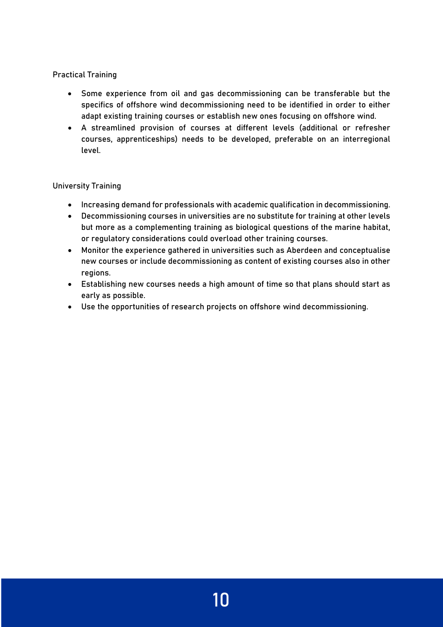# Practical Training

- Some experience from oil and gas decommissioning can be transferable but the specifics of offshore wind decommissioning need to be identified in order to either adapt existing training courses or establish new ones focusing on offshore wind.
- A streamlined provision of courses at different levels (additional or refresher courses, apprenticeships) needs to be developed, preferable on an interregional level.

# University Training

- Increasing demand for professionals with academic qualification in decommissioning.
- Decommissioning courses in universities are no substitute for training at other levels but more as a complementing training as biological questions of the marine habitat, or regulatory considerations could overload other training courses.
- Monitor the experience gathered in universities such as Aberdeen and conceptualise new courses or include decommissioning as content of existing courses also in other regions.
- Establishing new courses needs a high amount of time so that plans should start as early as possible.
- Use the opportunities of research projects on offshore wind decommissioning.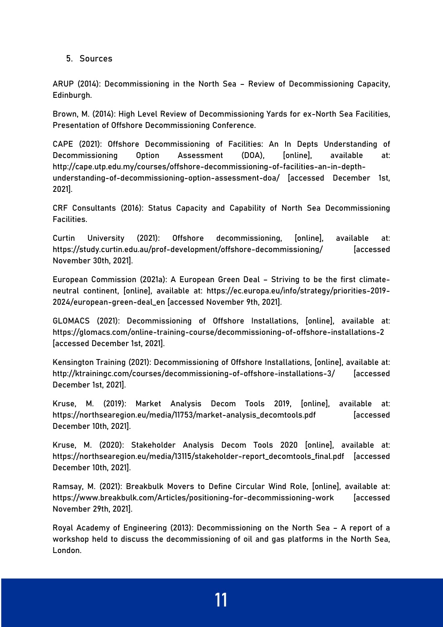5. Sources

ARUP (2014): Decommissioning in the North Sea – Review of Decommissioning Capacity, Edinburgh.

Brown, M. (2014): High Level Review of Decommissioning Yards for ex-North Sea Facilities, Presentation of Offshore Decommissioning Conference.

CAPE (2021): Offshore Decommissioning of Facilities: An In Depts Understanding of Decommissioning Option Assessment (DOA), [online], available at: http://cape.utp.edu.my/courses/offshore-decommissioning-of-facilities-an-in-depthunderstanding-of-decommissioning-option-assessment-doa/ [accessed December 1st, 2021].

CRF Consultants (2016): Status Capacity and Capability of North Sea Decommissioning Facilities.

Curtin University (2021): Offshore decommissioning, [online], available at: https://study.curtin.edu.au/prof-development/offshore-decommissioning/ [accessed November 30th, 2021].

European Commission (2021a): A European Green Deal – Striving to be the first climateneutral continent, [online], available at: https://ec.europa.eu/info/strategy/priorities-2019- 2024/european-green-deal\_en [accessed November 9th, 2021].

GLOMACS (2021): Decommissioning of Offshore Installations, [online], available at: https://glomacs.com/online-training-course/decommissioning-of-offshore-installations-2 [accessed December 1st, 2021].

Kensington Training (2021): Decommissioning of Offshore Installations, [online], available at: http://ktrainingc.com/courses/decommissioning-of-offshore-installations-3/ [accessed December 1st, 2021].

Kruse, M. (2019): Market Analysis Decom Tools 2019, [online], available at: https://northsearegion.eu/media/11753/market-analysis\_decomtools.pdf [accessed December 10th, 2021].

Kruse, M. (2020): Stakeholder Analysis Decom Tools 2020 [online], available at: https://northsearegion.eu/media/13115/stakeholder-report\_decomtools\_final.pdf [accessed December 10th, 2021].

Ramsay, M. (2021): Breakbulk Movers to Define Circular Wind Role, [online], available at: https://www.breakbulk.com/Articles/positioning-for-decommissioning-work [accessed November 29th, 2021].

Royal Academy of Engineering (2013): Decommissioning on the North Sea – A report of a workshop held to discuss the decommissioning of oil and gas platforms in the North Sea, London.